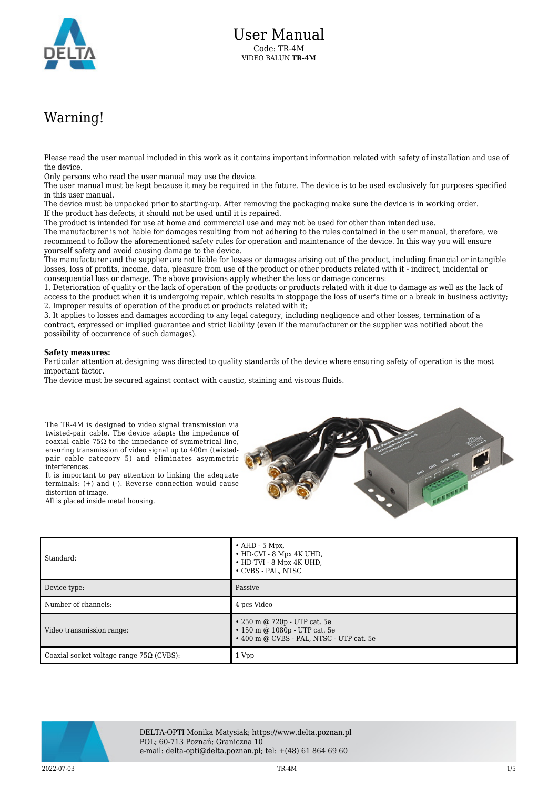

## Warning!

Please read the user manual included in this work as it contains important information related with safety of installation and use of the device.

Only persons who read the user manual may use the device.

The user manual must be kept because it may be required in the future. The device is to be used exclusively for purposes specified in this user manual.

The device must be unpacked prior to starting-up. After removing the packaging make sure the device is in working order. If the product has defects, it should not be used until it is repaired.

The product is intended for use at home and commercial use and may not be used for other than intended use.

The manufacturer is not liable for damages resulting from not adhering to the rules contained in the user manual, therefore, we recommend to follow the aforementioned safety rules for operation and maintenance of the device. In this way you will ensure yourself safety and avoid causing damage to the device.

The manufacturer and the supplier are not liable for losses or damages arising out of the product, including financial or intangible losses, loss of profits, income, data, pleasure from use of the product or other products related with it - indirect, incidental or consequential loss or damage. The above provisions apply whether the loss or damage concerns:

1. Deterioration of quality or the lack of operation of the products or products related with it due to damage as well as the lack of access to the product when it is undergoing repair, which results in stoppage the loss of user's time or a break in business activity; 2. Improper results of operation of the product or products related with it;

3. It applies to losses and damages according to any legal category, including negligence and other losses, termination of a contract, expressed or implied guarantee and strict liability (even if the manufacturer or the supplier was notified about the possibility of occurrence of such damages).

## **Safety measures:**

Particular attention at designing was directed to quality standards of the device where ensuring safety of operation is the most important factor.

The device must be secured against contact with caustic, staining and viscous fluids.

The TR-4M is designed to video signal transmission via twisted-pair cable. The device adapts the impedance of coaxial cable 75Ω to the impedance of symmetrical line, ensuring transmission of video signal up to 400m (twistedpair cable category 5) and eliminates asymmetric interferences.

It is important to pay attention to linking the adequate terminals: (+) and (-). Reverse connection would cause distortion of image.

All is placed inside metal housing.



| Standard:                                       | $\bullet$ AHD - 5 Mpx,<br>• HD-CVI - 8 Mpx 4K UHD,<br>• HD-TVI - 8 Mpx 4K UHD,<br>• CVBS - PAL, NTSC            |
|-------------------------------------------------|-----------------------------------------------------------------------------------------------------------------|
| Device type:                                    | Passive                                                                                                         |
| Number of channels:                             | 4 pcs Video                                                                                                     |
| Video transmission range:                       | • 250 m @ 720p - UTP cat. 5e<br>$\cdot$ 150 m @ 1080p - UTP cat. 5e<br>• 400 m @ CVBS - PAL, NTSC - UTP cat. 5e |
| Coaxial socket voltage range $75\Omega$ (CVBS): | 1 Vpp                                                                                                           |



DELTA-OPTI Monika Matysiak; https://www.delta.poznan.pl POL; 60-713 Poznań; Graniczna 10 e-mail: delta-opti@delta.poznan.pl; tel: +(48) 61 864 69 60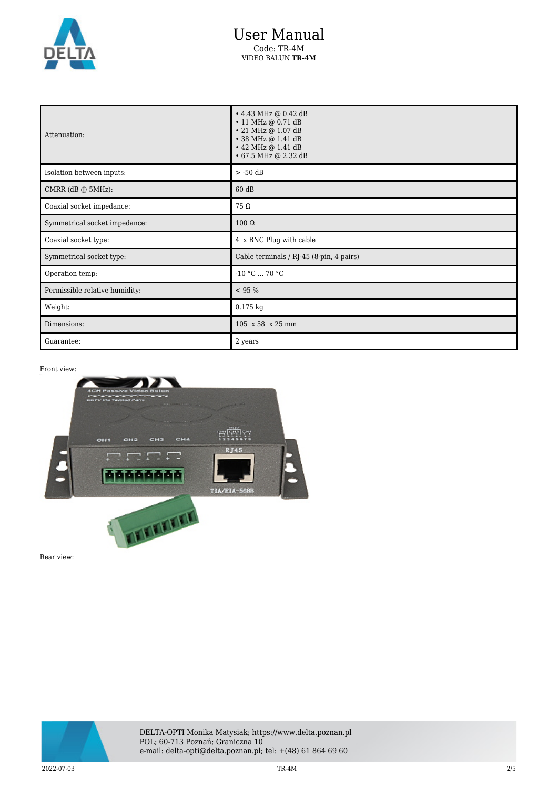

| Attenuation:                   | • 4.43 MHz @ 0.42 dB<br>$\cdot$ 11 MHz @ 0.71 dB<br>• 21 MHz @ 1.07 dB<br>• 38 MHz @ 1.41 dB<br>• 42 MHz @ 1.41 dB<br>• 67.5 MHz @ 2.32 dB |
|--------------------------------|--------------------------------------------------------------------------------------------------------------------------------------------|
| Isolation between inputs:      | $> -50$ dB                                                                                                                                 |
| CMRR $(dB @ 5MHz)$ :           | 60 dB                                                                                                                                      |
| Coaxial socket impedance:      | 75 Ω                                                                                                                                       |
| Symmetrical socket impedance:  | $100 \Omega$                                                                                                                               |
| Coaxial socket type:           | 4 x BNC Plug with cable                                                                                                                    |
| Symmetrical socket type:       | Cable terminals / RJ-45 (8-pin, 4 pairs)                                                                                                   |
| Operation temp:                | $-10 °C  70 °C$                                                                                                                            |
| Permissible relative humidity: | < 95 %                                                                                                                                     |
| Weight:                        | 0.175 kg                                                                                                                                   |
| Dimensions:                    | 105 x 58 x 25 mm                                                                                                                           |
| Guarantee:                     | 2 years                                                                                                                                    |

Front view:



Rear view:

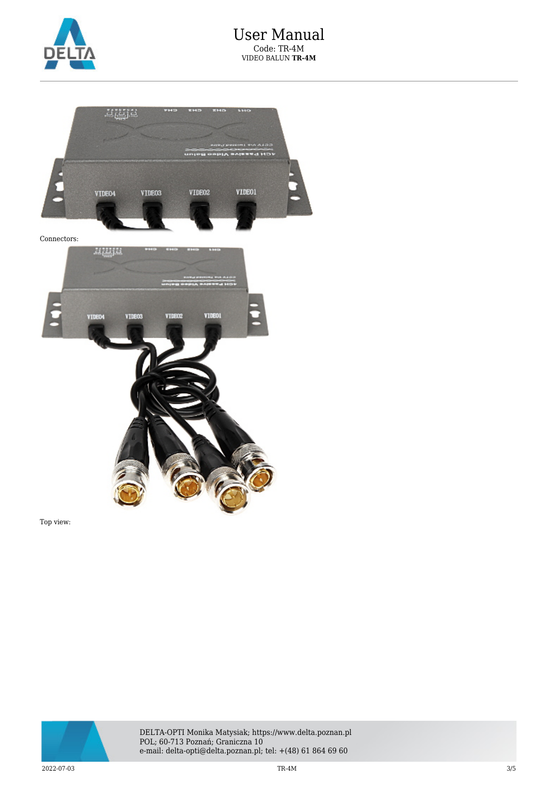



Top view:



DELTA-OPTI Monika Matysiak; https://www.delta.poznan.pl POL; 60-713 Poznań; Graniczna 10 e-mail: delta-opti@delta.poznan.pl; tel: +(48) 61 864 69 60

 $\rm{TR}\text{-}4M$   $\rm{3/5}$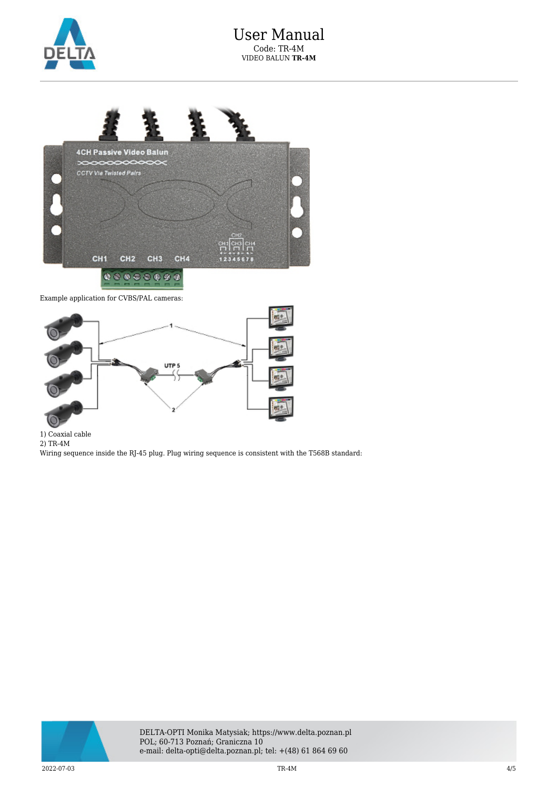



Example application for CVBS/PAL cameras:



1) Coaxial cable

2) TR-4M

Wiring sequence inside the RJ-45 plug. Plug wiring sequence is consistent with the T568B standard: